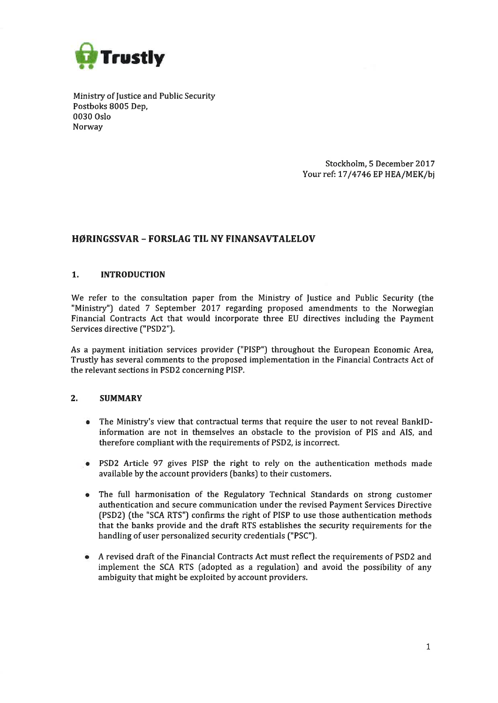

Ministry of fustice and Public Security Postboks 8005 Dep, 0030 Oslo Norway

> Stockholm, 5 December 2017 Your ref: 17/4746 EP HEA/MEK/bj

# HØRINGSSVAR - FORSLAG TIL NY FINANSAVTALELOV

## 1. INTRODUCTION

We refer to the consultation paper from the Ministry of fustice and Public Security (the "Ministry") dated 7 September 2017 regarding proposed amendments to the Norwegian Financial Contracts Act that would incorporate three EU directives including the Payment Services directive ("PSD2').

As a payment initiation services provider ('PISP") throughout the European Economic Area, Trustly has several comments to the proposed implementation in the Financial Contracts Act of the relevant sections in PSD2 concerning PISP.

## 2. SUMMARY

- The Ministry's view that contractual terms that require the user to not reveal BankIDinformation are not in themselves an obstacle to the provision of PIS and AIS, and therefore compliant with the requirements of PSD2, is incorrect.
- PSD2 Article 97 gives PISP the right to rely on the authentication methods made available by the account providers (banks) to their customers.
- The full harmonisation of the Regulatory Technical Standards on strong customer authentication and secure communication under the revised Payment Services Directive (PSD2) (the "SCA RTS") confirms the right of PISP to use those authentication methods that the banks provide and the draft RTS establishes the security requirements for the handling of user personalized security credentials ["PSC").
- A revised draft of the Financial Contracts Act must reflect the requirements of PSD2 and implement the SCA RTS (adopted as a regulation) and avoid the possibility of any ambiguity that might be exploited by account providers,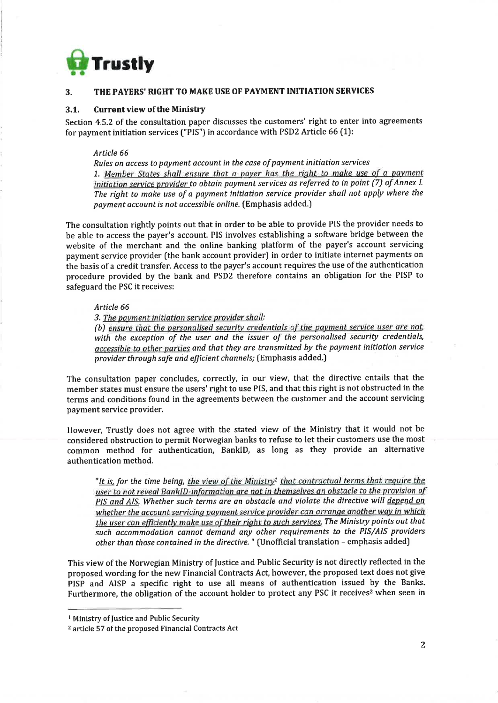

## 3. THE PAYERS'RIGHT TO MAKE USE OF PAYMENT INITIATION SERVICES

## 3.1. Current view of the Ministry

Section 4.5.2 of the consultation paper discusses the customers' right to enter into agreements for payment initiation services ("PIS') in accordance with PSD2 Article 66 {7):

#### Article 66

Rules on access to payment account in the case of payment initiation services 1. Member States shall ensure that a payer has the right to make use of a payment initiation service provider to obtain payment services as referred to in point (7) of Annex I. The right to make use of a payment initiation service provider shall not apply where the payment account is not accessible online. (Emphasis added.)

The consultation rightly points out that in order to be able to provide PIS the provider needs to be able to access the payer's account. PIS involves establishing a software bridge between the website of the merchant and the online banking platform of the payer's account servicing payment service provider (the bank account provider) in order to initiate internet payments on the basis of a credit transfer. Access to the payer's account requires the use of the authentication procedure provided by the bank and PSD2 therefore contains an obligation for the PISP to safeguard the PSC it receives:

#### Article 66

3. The payment initiation service provider shall:

(b) ensure that the personalised security credentials of the payment service user are not, with the exception of the user and the issuer of the personalised security credentials, accessible to other parties and that they are transmitted by the payment initiation service provider through safe and efficient channels; (Emphasis added.)

The consultation paper concludes, correctly, in our view, that the directive entails that the member states must ensure the users' right to use PIS, and that this right is not obstructed in the terms and conditions found in the agreements between the customer and the account servicing payment service provider.

However, Trustly does not agree with the stated view of the Ministry that it would not be considered obstruction to permit Norwegian banks to refuse to let their customers use the most common method for authentication, BanklD, as long as they provide an alternative authentication method.

"It is, for the time being, the view of the Ministry<sup>1</sup> that contractual terms that require the user to not reveal BankID-information are not in themselves an obstacle to the provision of PIS and AIS. Whether such terms are an obstacle and violate the directive will depend on whether the account servicing payment service provider can arrange another way in which the user can efficiently make use of their right to such seruices. The Ministry points out that such accommodation cannot demand any other requirements to the PIS/AIS providers other than those contained in the directive. " (Unofficial translation - emphasis added)

This view of the Norwegian Ministry of Justice and Public Security is not directly reflected in the proposed wording for the new Financial Contracts Act, however, the proposed text does not give PISP and AISP a specific right to use all means of authentication issued by the Banks. Furthermore, the obligation of the account holder to protect any PSC it receives<sup>2</sup> when seen in

<sup>1</sup>Ministry of fustice and Public Security

<sup>&</sup>lt;sup>2</sup> article 57 of the proposed Financial Contracts Act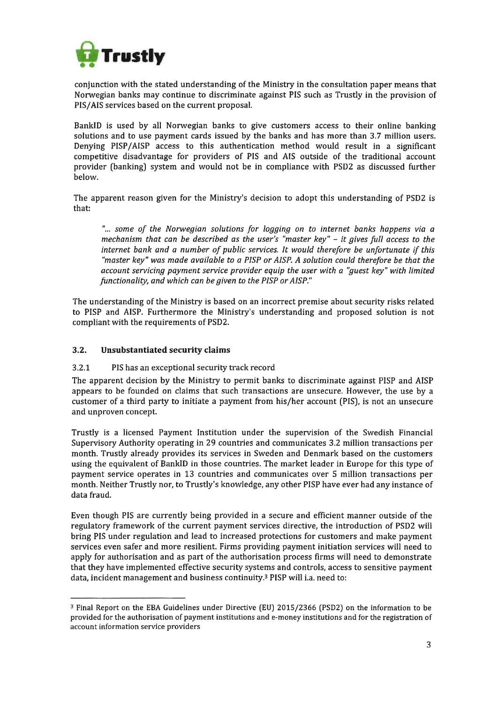

conjunction with the stated understanding of the Ministry in the consultation paper means that Norwegian banks may continue to discriminate against PIS such as Trustly in the provision of PIS/AIS services based on the current proposal.

BanklD is used by all Norwegian banks to give customers access to their online banking solutions and to use payment cards issued by the banks and has more than 3.7 million users. Denying PISP/AISP access to this authentication method would result in a significant competitive disadvantage for providers of PIS and AIS outside of the traditional account provider (banking) system and would not be in compliance with PSD2 as discussed further below.

The apparent reason given for the Ministry's decision to adopt this understanding of PSD2 is that:

"... some of the Norwegian solutions for logging on to internet banks happens via <sup>a</sup> mechanism that can be described as the user's "master key" - it gives fulI access to the internet bank and a number of public services. It would therefore be unfortunate if this "master key" wes made available to a PISP or AISP. A solution could therefore be that the account servicing pqyment seryice provider equip the user with a "guest key" with limited functionality, and which can be given to the PISP or AISP."

The understanding of the Ministry is based on an incorrect premise about security risks related to PISP and AISP. Furthermore the Ministry's understanding and proposed solution is not compliant with the requirements of PSD2.

## 3.2. Unsubstantiated security claims

## 3.2.7 PIS has an exceptional security track record

The apparent decision by the Ministry to permit banks to discriminate against PISP and AISP appears to be founded on claims that such transactions are unsecure. However, the use by a customer of a third party to initiate a payment from his/her account (PIS), is not an unsecure and unproven concept.

Trustly is a licensed Payment Institution under the supervision of the Swedish Financial Supervisory Authority operating in 29 countries and communicates 3.2 million transactions per month. Trustly already provides its services in Sweden and Denmark based on the customers using the equivalent of BanklD in those countries. The market leader in Europe for this type of payment service operates in 13 countries and communicates over 5 million transactions per month. Neither Trustly nor, to Trustly's knowledge, any other PISP have ever had any instance of data fraud.

Even though PIS are currently being provided in a secure and efficient manner outside of the regulatory framework of the current payment services directive, the introduction of PSD2 will bring PIS under regulation and lead to increased protections for customers and make payment services even safer and more resilient. Firms providing payment initiation services will need to apply for authorisation and as part of the authorisation process firms will need to demonstrate that they have implemented effective security systems and controls, access to sensitive payment data, incident management and business continuity.3 PISP will i.a. need to:

<sup>&</sup>lt;sup>3</sup> Final Report on the EBA Guidelines under Directive (EU) 2015/2366 (PSD2) on the information to be provided for the authorisation of payment institutions and e-money institutions and for the registration of account information service providers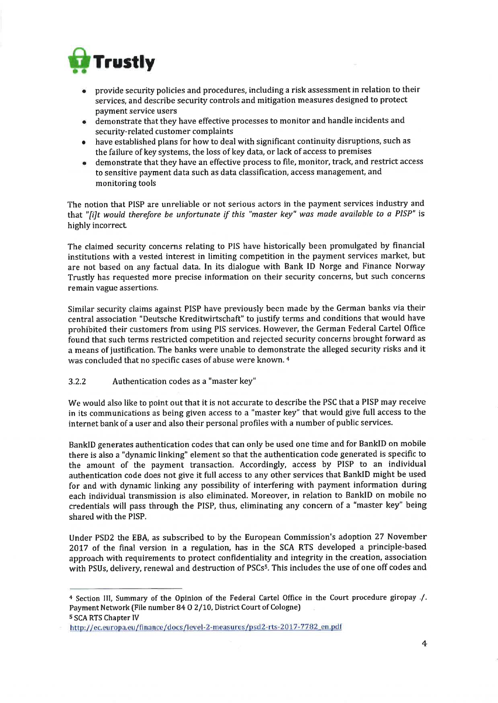

- provide security policies and procedures, including a risk assessment in relation to their services, and describe security controls and mitigation measures designed to protect payment service users a
- demonstrate that they have effective processes to monitor and handle incidents and security-related customer complaints a
- have established plans for how to deal with significant continuity disruptions, such as the failure of key systems, the loss of key data, or lack of access to premises a
- demonstrate that they have an effective process to file, monitor, track, and restrict access to sensitive payment data such as data classification, access management, and monitoring tools a

The notion that PISP are unreliable or not serious actors in the payment services industry and that "filt would therefore be unfortunate if this "master key" was made available to a PISP" is highly incorrect

The claimed security concerns relating to PIS have historically been promulgated by financial institutions with a vested interest in limiting competition in the payment services market, but are not based on any factual data, In its dialogue with Bank ID Norge and Finance Norway Trustly has requested more precise information on their security concerns, but such concerns remain vague assertions.

Similar security claims against PISP have previously been made by the German banks via their central association "Deutsche Kreditwirtschaft" to justify terms and conditions that would have prohibited their customers from using PIS services. However, the German Federal Cartel Office found that such terms restricted competition and rejected security concerns brought forward as <sup>a</sup>means of justification. The banks were unable to demonstrate the alleged security risks and it was concluded that no specific cases of abuse were known. 4

## 3.2.2 Authentication codes as a "master key"

We would also like to point out that it is not accurate to describe the PSC that a PISP may receive in its communications as being given access to a "master key" that would give full access to the internet bank of a user and also their personal profiles with a number of public services.

BanklD generates authentication codes that can only be used one time and for BanklD on mobile there is also a "dynamic linking" element so that the authentication code generated is specific to the amount of the payment transaction. Accordingly, access by PISP to an individual authentication code does not givc it full access to any other services that BanklD might be used for and with dynamic linking any possibility of interfering with payment information during each individual transmission is also eliminated. Moreover, in relation to BanklD on mobile no credentials will pass through the PISP, thus, eliminating any concern of a "master key" being shared with the PISP.

Under PSDZ the EBA, as subscribed to by the European Commission's adoption 27 November 2017 of the final version in a regulation, has in the SCA RTS developed a principle-based approach with requirements to protect confidentiality and integrity in the creation, association with PSUs, delivery, renewal and destruction of PSCs<sup>5</sup>. This includes the use of one off codes and

a Section lll, Summary of the Opinion of the Federal Cartel Office in the Court procedure giropay ./. Payment Network (File number 84 O 2/10, District Court of Cologne) s SCA RTS Chapter IV

http://ec.europa.eu/finance/docs/level-2-measures/psd2-rts-2017-7782 en.pdf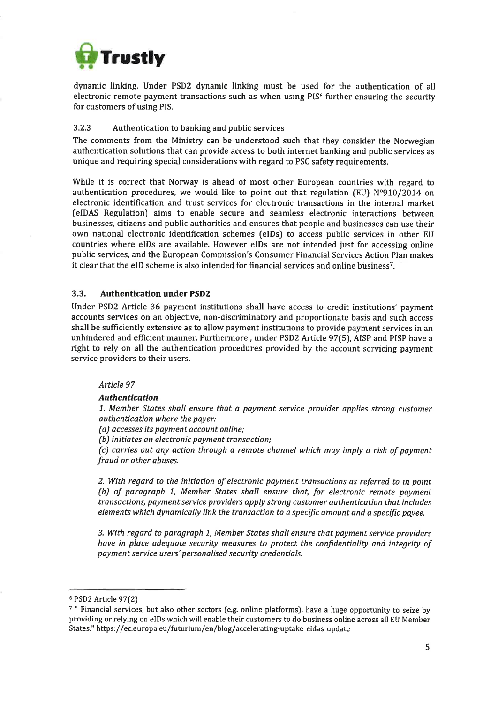

dynamic linking. Under PSD2 dynamic linking must be used for the authentication of all electronic remote payment transactions such as when using  $PIS<sup>6</sup>$  further ensuring the security for customers of using PIS.

## 3.2.3 Authentication to banking and public services

The comments from the Ministry can be understood such that they consider the Norwegian authentication solutions that can provide access to both internet banking and public services as unique and requiring special considerations with regard to PSC safety requirements.

While it is correct that Norway is ahead of most other European countries with regard to authentication procedures, we would like to point out that regulation (EU)  $N^{\circ}910/2014$  on electronic identification and trust services for electronic transactions in the internal market [elDAS Regulation) aims to enable secure and seamless electronic interactions between businesses, citizens and public authorities and ensures that people and businesses can use their own national electronic identification schemes (elDs) to access public services in other EU countries where elDs are available. However elDs are not intended just for accessing online public services, and the European Commission's Consumer Financial Services Action Plan makes it clear that the eID scheme is also intended for financial services and online business<sup>7</sup>.

## 3.3. Authentication under PSD2

Under PSDZ Article 36 payment institutions shall have access to credit institutions' payment accounts services on an objective, non-discriminatory and proportionate basis and such access shall be sufficiently extensive as to allow payment institutions to provide payment services in an unhindered and efficient manner. Furthermore, under PSD2 Article 97(5), AISP and PISP have a right to rely on all the authentication procedures provided by the account servicing payment service providers to their users.

## Article 97

## Authentication

7. Member States shall ensure that a payment service provider applies strong customer authentication where the payer:

(a) accesses its payment accaunt online;

(b) initiates an electronic payment transaction;

(c) carries out any action through a remote channel which may imply a risk of payment fraud or other abuses.

2. With regard to the initiation of electronic payment transactions as referred to in point (b) of paragraph 1, Member States shall ensure that, for electronic remote payment transactions, payment service providers apply strong customer authentication that includes elements which dynamically link the transaction to a specific amount and a specific payee.

3. With regard to paragraph 1, Member States shall ensure that payment service providers have in place adequate security measures to protect the confidentiality and integrity of payment service users' personalised security credentials.

<sup>6</sup>PSD2 Article 97(2)

<sup>7</sup>" Financial services, but also other sectors [e.g. online platforms), have a huge opportunity to seize by providing or relying on elDs which will enable their customers to do business online across all EU Member States." https://ec.europa.eu/futurium/en/blog/accelerating-uptake-eidas-update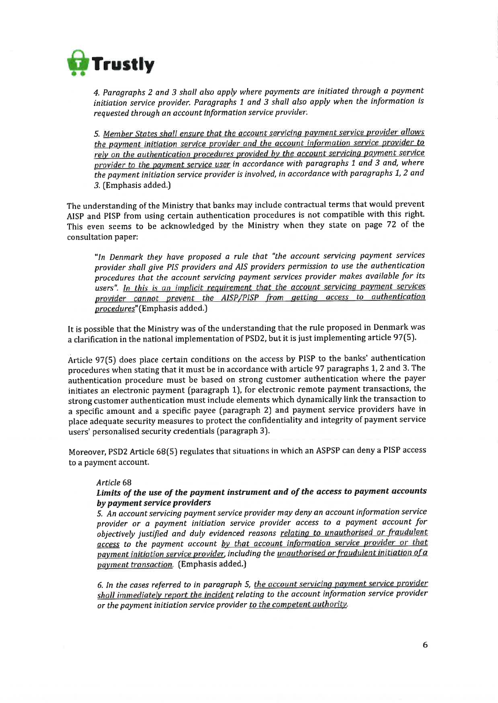

4. Paragraphs 2 and 3 shalt also apply where payments are initiated through a payment initiation service provider. Paragraphs 1 and 3 shall also apply when the information is requested through an account lnformation service provider',

5. Member States shall ensure that the account servicing payment service provider allows the payment initiation service provider and the account information service provider to rely on the authentication procedures provided by the account servicing payment service provider to the payment service user in accordance with paragraphs 1 and 3 and, where the payment initiation service provider is involved, in accordance with paragraphs 1, 2 and 3. (Emphasis added.)

The understanding of the Ministry that banks may include contractual terms that would prevent AISP and PISP from using certain authentication procedures is not compatible with this right. This even seems to be acknowledged by the Ministry when they state on page 72 of the consultation paper:

"ln Denmark they høve proposed a rule that "the qccount servicing payment services provider shall give PIS providers and AIS providers permission to use the authentication procedures that the account servicing payment services provider makes available for its users". In this is an implicit requirement that the account servicing payment services provider cannot prevent the AISP/PISP from getting access to authentication procedures" (Emphasis added.)

It is possible that the Ministry was of the understanding that the rule proposed in Denmark was a clarification in the national implementation of PSD2, but it is just implementing article 97(5).

Article 97(5) does place certain conditions on the access by PISP to the banks' authentication procedures when stating that it must be in accordance with article 97 paragraphs 1, 2 and 3. The authentication procedure must be based on strong customer authentication where the payer initiates an electronic payment [paragraph 1), for electronic remote payment transactions, the strong customer authentication must include elements which dynamically link the transaction to a specific amount and a specific payee (paragraph 2) and payment service providers have in place adequate security measures to protect the confidentiality and integrity of payment service users' personalised security credentials (paragraph 3).

Moreover, PSD2 Article 68(5) regulates that situations in which an ASPSP can deny a PISP access to a paymcnt account.

#### Article 68

## Limits of the use of the payment instrument and of the access to payment accounts by pøyment service providers

5. An account servicing payment service provider may deny an account information service provider or a payment initiation service provider access to a payment account for objectively justified and duly evidenced reasons relating to unauthorised or fraudulent access to the payment account by that account information service provider or that payment initiation service provider, including the unauthorised or fraudulent initiation of a payment transaction. (Emphasis added.)

6. In the cases referred to in paragraph 5, the account servicing payment service provider shall immediately report the incident relating to the account information service provider or the payment initiation service provider to the competent authority.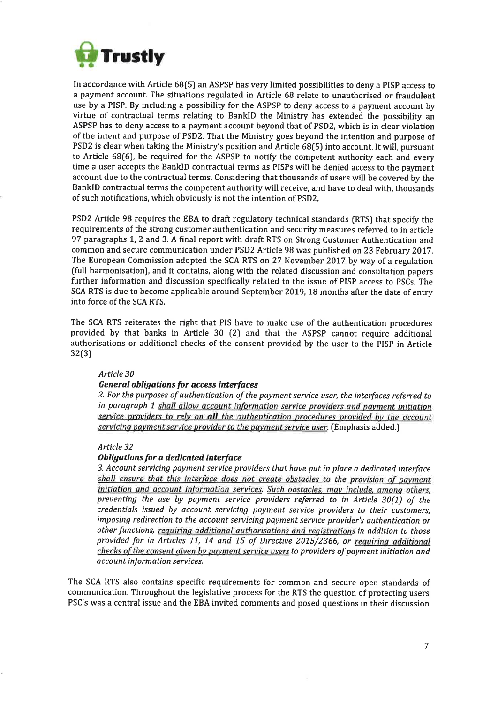

In accordance with Article 68(5) an ASPSP has very limited possibilities to deny a PISP access to a payment account. The situations regulated in Article 68 relate to unauthorised or fraudulent use by a PISP. By including a possibility for the ASPSP to deny access to a payment account by virtue of contractual terms relating to BanklD the Ministry has extended the possibility an ASPSP has to deny access to a payment account beyond that of PSD2, which is in clear violation of the intent and purpose of PSDZ. That the Ministry goes beyond the intention and purpose of PSD2 is clear when taking the Ministry's position and Article 68[5) into account. It will, pursuant to Article  $68(6)$ , be required for the ASPSP to notify the competent authority each and every time a user accepts the BanklD contractual terms as PISPs will be denied access to the payment account due to the contractual terms. Considering that thousands of users will be covered by the BanklD contractual terms the competent authority will receive, and have to deal with, thousands of such notifications, which obviously is not the intention of PSD2.

PSD2 Article 98 requires the EBA to draft regulatory technical standards (RTS) that specify the requirements of the strong customer authentication and security measures referred to in article 97 paragraphs 1,2 and 3. A final report with draft RTS on Strong Customer Authentication and common and secure communication under PSD2 Article 98 was published on 23 February 2017. The European Commission adopted the SCA RTS on 27 November 2017 by way of a regulation (full harmonisation), and it contains, along with the related discussion and consultation papers further information and discussion specifically related to the issue of PISP access to PSCs. The SCA RTS is due to become applicable around September 2019, 18 months after the date of entry into force of the SCA RTS.

The SCA RTS reiterates the right that PIS have to make use of the authentication procedures provided by that banks in Article 30 [2) and that the ASPSP cannot require additional authorisations or additional checks of the consent provided by the user to the PISP in Article 32(3)

## Article 30

## General obligations for access interfaces

2. For the purposes of authentication of the payment service user, the interfaces referred to in paragraph 1 shall allow account information service providers and payment initiation service providers to rely on all the authentication procedures provided by the account servicing payment service provider to the payment service user. (Emphasis added.)

#### Article 32

## Obligations for a dedicated interface

3. Account servicing payment service providers that have put in place a dedicated interface shall ensure that this interface does not create obstacles to the provision of payment initiation and account information services. Such obstacles, may include, among others, preventing the use by payment service providers referred to in Article  $30(1)$  of the credentials issued by account servicing payment service providers to their customers, imposing redirectian to the account servicing pqyment service provider's authentication or other functions, requiring additional authorisations and registrations in addition to those provided for in Articles 11, 14 and 15 of Directive 2015/2366, or requiring additional checks of the consent given by payment service users to providers of payment initiation and account information services.

The SCA RTS also contains specific requirements for common and secure open standards of communication. Throughout the legislative process for the RTS the question of protecting users PSC's was a central issue and the EBA invited comments and posed questions in their discussion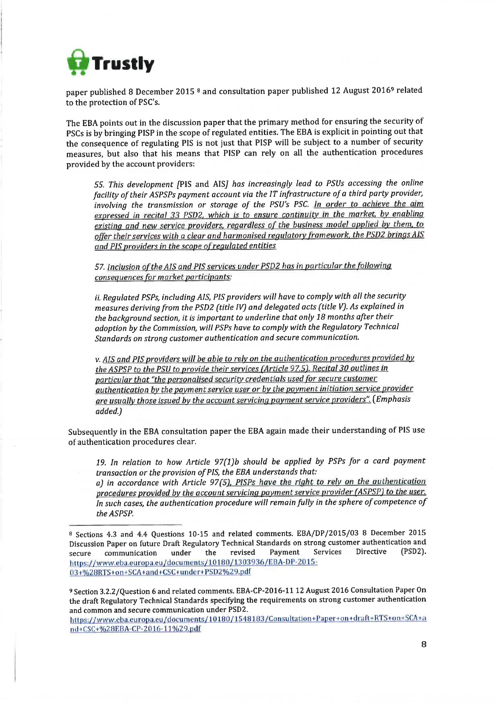

paper published 8 December 2015 8 and consultation paper published 12 August 20169 related to the protection of PSC's.

The EBA points out in the discussion paper that the primary method for ensuring the security of PSCs is by bringing PISP in the scope of regulated entities. The EBA is explicit in pointing out that the consequence of regulating PIS is not just that PISP will be subject to a number of security measures, but also that his means that PISP can rely on all the authentication procedures provided by the account providers:

55. This development [PIS and AIS] has increasingly lead to PSUs accessing the online facility of their ASPSPs payment account via the IT infrastructure of a third party provider, involving the transmission or storage of the PSU'S PSC. In order to achieve the aim expressed in recital 33 PSD2, which is to ensure continuity in the market. by enabling existing and new service providers, regardless of the business model applied by them, to offer their services with a clear and harmonised regulatory framework, the PSD2 brings AIS and PIS providers in the scope of reguiated entities

57. Inclusion of the AIS and PIS services under PSD2 has in particular the following consequences for market participants:

ii. Regulated PSPs, including AIS, PIS providers will have to comply with all the security measures deriving from the PSD2 (title IV) and delegated acts (title V). As explained in the background section, it is important to underline that only 78 months after their adoption by the Commission, will PSPs have to comply with the Regulatary Technical Standards on strong customer authentication and secure communication.

v. AIS and PIS providers will be able to rely on the authentication procedures provided by the ASPSP to the PSU to provide their services (Article 97.5). Recital 30 outlines in particular that "the personalised security credentials used for secure customer authentication by the payment service user or by the payment initiation service provider are usually those issued by the account servicing payment service providers". (Emphasis added.)

Subsequently in the EBA consultation paper the EBA again made their understanding of PIS use of authentication procedures clear.

19. In relation to how Article 97(1)b should be applied by PSPs for a card payment transaction or the provision of PIS, the EBA understands that:

a) in accordance with Article 97(5), PISPs have the right to rely on the authentication procedures provided by the account servicing payment service provider (ASPSP) to the user. In such cases, the authentication procedure wiII remain fully in the sphere of competence of the ASPSP.

<sup>9</sup> Section 3.2.2/Question 6 and related comments. EBA-CP-2016-11 12 August 2016 Consultation Paper On the draft Regulatory Technical Standards specifying the requirements on strong customer authentication and common and secure communication under PSD2.

https://www.eba.europa.eu/documents/10180/1548183/Consultation+Paper+on+draft+RTS+on+SCA+a nd+CSC+%28EBA-CP-2016-11%29.pdf

<sup>8</sup>Sections 4.3 and 4.4 Questions 10-15 and related comments. EBA/DP/2015/03 8 December 2015 Discussion Paper on future Draft Regulatory Technical Standards on strong customer authentication and secure communication under the revised Payment Services Directive (PSD2) https://www.eba.europa.eu/documents/10180/1303936/EBA-DP-2015-03+%28RTS+on+SCA+and+CSC+under+PSD2%29.pdf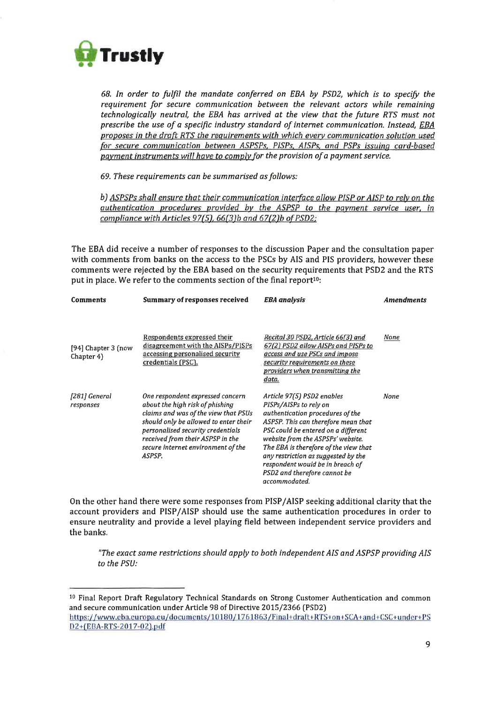

68. In order to fulfrl the mandate conferred on EBA by PSDZ, which is to specify the requirement for secure communication between the relevant actors while remaining technologically neutral, the EBA has arrived at the view that the future RTS must not prescribe the use of a specific industry standard of internet communication. Instead, EBA proposes in the draft RTS the requirements with which every communication solution used for secure communication between ASPSPs, PISPs. AISPs, and PSPs issuing card-based payment instruments will have to comply for the provision of a payment service.

69. These requirements can be summarised as follows:

b) ASPSPs shall ensure that their communication interface allow PISP or AISP to rely on the authentication procedures provided by the ASPSP to the payment service user, in compliance with Articles 97(5),  $66(3)b$  and  $67(2)b$  of PSD2;

The EBA did receive a number of responses to the discussion Paper and the consultation paper with comments from banks on the access to the PSCs by AIS and PIS providers, however these comments were rejected by the EBA based on the security requirements that PSD2 and the RTS put in place. We refer to the comments section of the final report<sup>10</sup>:

| Comments                          | <b>Summary of responses received</b>                                                                                                                                                                                                                                          | <b>EBA</b> analysis                                                                                                                                                                                                                                                                                                                                                              | Amendments |
|-----------------------------------|-------------------------------------------------------------------------------------------------------------------------------------------------------------------------------------------------------------------------------------------------------------------------------|----------------------------------------------------------------------------------------------------------------------------------------------------------------------------------------------------------------------------------------------------------------------------------------------------------------------------------------------------------------------------------|------------|
| [94] Chapter 3 (now<br>Chapter 4) | Respondents expressed their<br>disagreement with the AISPs/PISPs<br>accessing personalised security<br>credentials (PSC).                                                                                                                                                     | Recital 30 PSD2, Article 66(3) and<br>67(2) PSD2 allow AISPs and PISPs to<br>access and use PSCs and impose<br>security requirements on these<br>providers when transmitting the<br>data.                                                                                                                                                                                        | None       |
| [281] General<br>responses        | One respondent expressed concern<br>about the high risk of phishing<br>claims and was of the view that PSUs<br>should only be allowed to enter their<br>personalised security credentials<br>received from their ASPSP in the<br>secure internet environment of the<br>ASPSP. | Article 97(5) PSD2 enables<br>PISPs/AISPs to rely on<br>authentication procedures of the<br>ASPSP. This can therefore mean that<br>PSC could be entered on a different<br>website from the ASPSPs' website.<br>The EBA is therefore of the view that<br>any restriction as suggested by the<br>respondent would be in breach of<br>PSD2 and therefore cannot be<br>accommodated. | None       |

On the other hand there were some responses from PISP/AISP seeking additional clarity that the account providers and PISP/AISP should use the same authentication procedures in order to ensure neutrality and provide a level playing field between independent service providers and the banks.

"The exact same restrictions should apply to both independent AIS and ASPSP providing AIS to the PSU:

<sup>&</sup>lt;sup>10</sup> Final Report Draft Regulatory Technical Standards on Strong Customer Authentication and common and secure communication under Article 98 of Directive 2015/2366 (PSD2) https://www.eba.europa.eu/documents/10180/1761863/Final+draft+RTS+on+SCA+and+CSC+under+PS D2+(EBA-RTS-2017-02).pdf